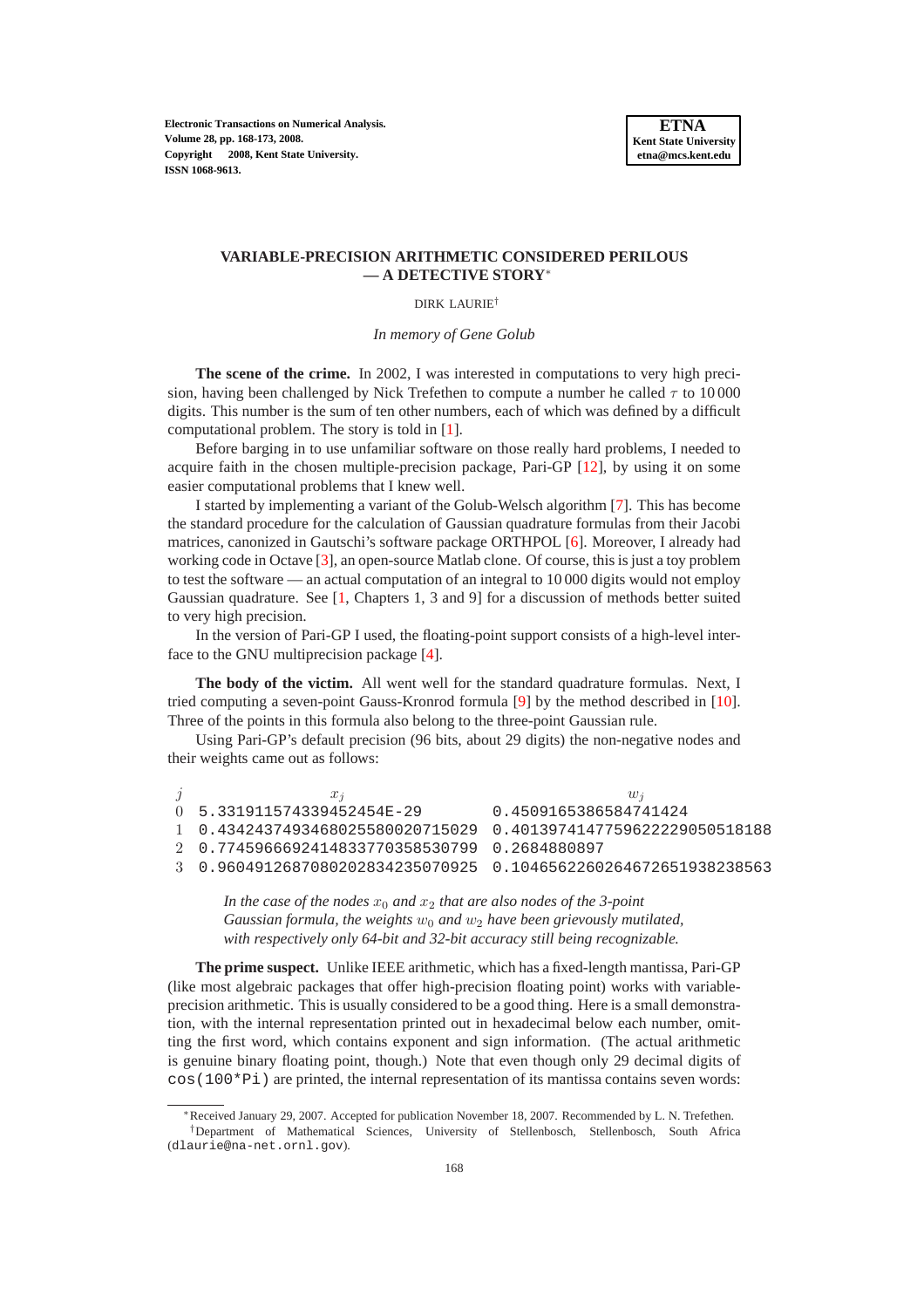**Electronic Transactions on Numerical Analysis. Volume 28, pp. 168-173, 2008. Copyright 2008, Kent State University. ISSN 1068-9613.**

## **VARIABLE-PRECISION ARITHMETIC CONSIDERED PERILOUS — A DETECTIVE STORY**<sup>∗</sup>

## DIRK LAURIE†

*In memory of Gene Golub*

**The scene of the crime.** In 2002, I was interested in computations to very high precision, having been challenged by Nick Trefethen to compute a number he called  $\tau$  to 10 000 digits. This number is the sum of ten other numbers, each of which was defined by a difficult computational problem. The story is told in [\[1\]](#page-5-0).

Before barging in to use unfamiliar software on those really hard problems, I needed to acquire faith in the chosen multiple-precision package, Pari-GP [\[12\]](#page-5-1), by using it on some easier computational problems that I knew well.

I started by implementing a variant of the Golub-Welsch algorithm [\[7\]](#page-5-2). This has become the standard procedure for the calculation of Gaussian quadrature formulas from their Jacobi matrices, canonized in Gautschi's software package ORTHPOL [\[6\]](#page-5-3). Moreover, I already had working code in Octave [\[3\]](#page-5-4), an open-source Matlab clone. Of course, this is just a toy problem to test the software — an actual computation of an integral to 10 000 digits would not employ Gaussian quadrature. See [\[1,](#page-5-0) Chapters 1, 3 and 9] for a discussion of methods better suited to very high precision.

In the version of Pari-GP I used, the floating-point support consists of a high-level interface to the GNU multiprecision package [\[4\]](#page-5-5).

**The body of the victim.** All went well for the standard quadrature formulas. Next, I tried computing a seven-point Gauss-Kronrod formula [\[9\]](#page-5-6) by the method described in [\[10\]](#page-5-7). Three of the points in this formula also belong to the three-point Gaussian rule.

Using Pari-GP's default precision (96 bits, about 29 digits) the non-negative nodes and their weights came out as follows:

| $x_i$                                                           | $w_i$                 |
|-----------------------------------------------------------------|-----------------------|
| $()$ 5.331911574339452454E-29                                   | 0.4509165386584741424 |
| 1 0.4342437493468025580020715029 0.4013974147759622229050518188 |                       |
| 2 0.7745966692414833770358530799 0.2684880897                   |                       |
| 3 0.9604912687080202834235070925 0.1046562260264672651938238563 |                       |

*In the case of the nodes*  $x_0$  *and*  $x_2$  *that are also nodes of the 3-point Gaussian formula, the weights*  $w_0$  *and*  $w_2$  *have been grievously mutilated, with respectively only 64-bit and 32-bit accuracy still being recognizable.*

**The prime suspect.** Unlike IEEE arithmetic, which has a fixed-length mantissa, Pari-GP (like most algebraic packages that offer high-precision floating point) works with variableprecision arithmetic. This is usually considered to be a good thing. Here is a small demonstration, with the internal representation printed out in hexadecimal below each number, omitting the first word, which contains exponent and sign information. (The actual arithmetic is genuine binary floating point, though.) Note that even though only 29 decimal digits of  $\cos(100*P_i)$  are printed, the internal representation of its mantissa contains seven words:

<sup>∗</sup>Received January 29, 2007. Accepted for publication November 18, 2007. Recommended by L. N. Trefethen. †Department of Mathematical Sciences, University of Stellenbosch, Stellenbosch, South Africa (dlaurie@na-net.ornl.gov).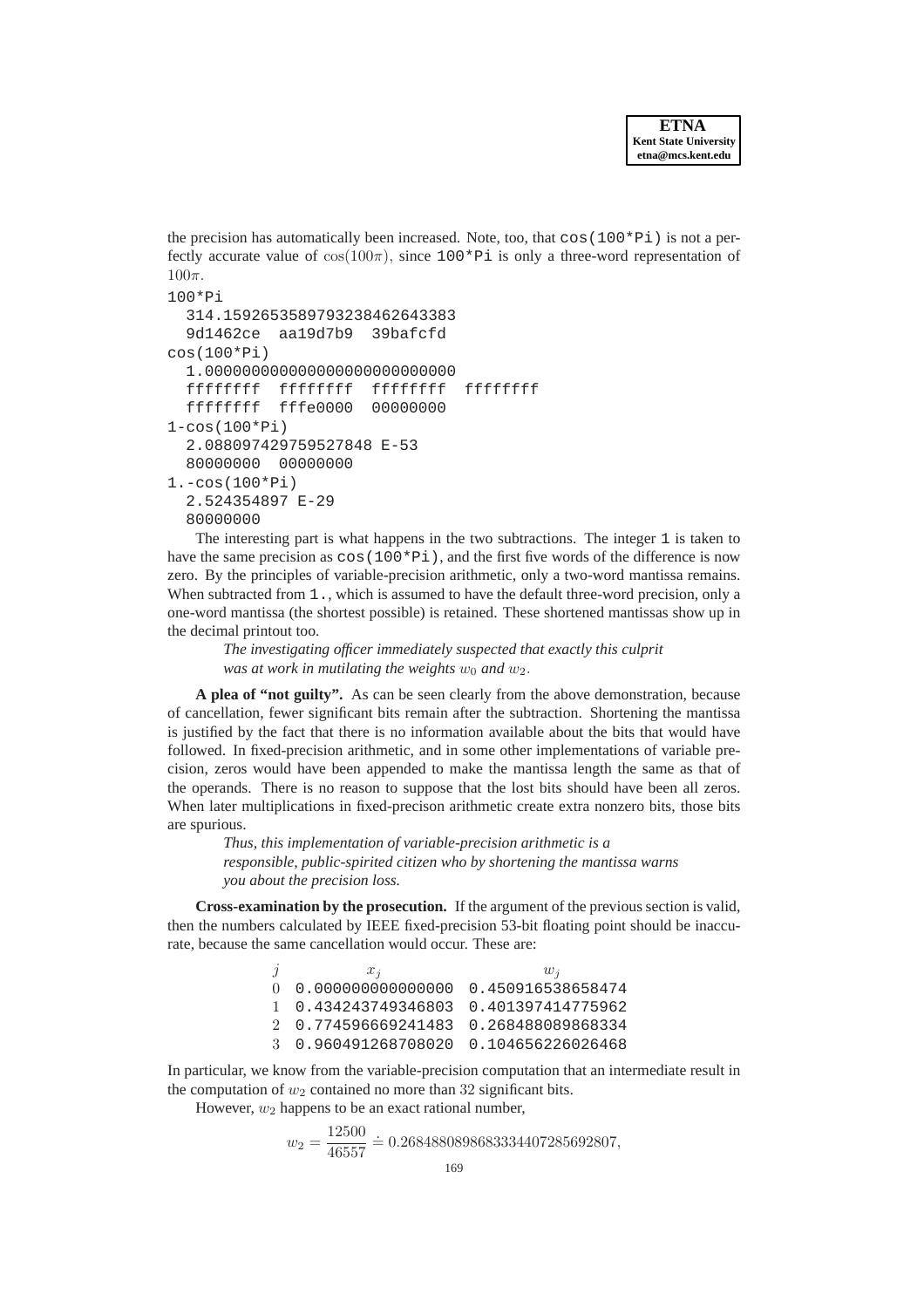the precision has automatically been increased. Note, too, that  $\cos(100*P_i)$  is not a perfectly accurate value of  $cos(100\pi)$ , since  $100*Pi$  is only a three-word representation of  $100\pi$ 

```
100*Pi
  314.1592653589793238462643383
  9d1462ce aa19d7b9 39bafcfd
cos(100*Pi)
  1.000000000000000000000000000
  ffffffff ffffffff ffffffff ffffffff
  ffffffff fffe0000 00000000
1-cos(100*Pi)
  2.088097429759527848 E-53
  80000000 00000000
1.-cos(100*Pi)
  2.524354897 E-29
  80000000
```
The interesting part is what happens in the two subtractions. The integer 1 is taken to have the same precision as  $\cos(100*P_i)$ , and the first five words of the difference is now zero. By the principles of variable-precision arithmetic, only a two-word mantissa remains. When subtracted from 1., which is assumed to have the default three-word precision, only a one-word mantissa (the shortest possible) is retained. These shortened mantissas show up in the decimal printout too.

*The investigating officer immediately suspected that exactly this culprit was at work in mutilating the weights*  $w_0$  *and*  $w_2$ *.* 

**A plea of "not guilty".** As can be seen clearly from the above demonstration, because of cancellation, fewer significant bits remain after the subtraction. Shortening the mantissa is justified by the fact that there is no information available about the bits that would have followed. In fixed-precision arithmetic, and in some other implementations of variable precision, zeros would have been appended to make the mantissa length the same as that of the operands. There is no reason to suppose that the lost bits should have been all zeros. When later multiplications in fixed-precison arithmetic create extra nonzero bits, those bits are spurious.

*Thus, this implementation of variable-precision arithmetic is a responsible, public-spirited citizen who by shortening the mantissa warns you about the precision loss.*

**Cross-examination by the prosecution.** If the argument of the previous section is valid, then the numbers calculated by IEEE fixed-precision 53-bit floating point should be inaccurate, because the same cancellation would occur. These are:

> j  $x_j$   $w_j$  0.000000000000000 0.450916538658474 0.434243749346803 0.401397414775962 0.774596669241483 0.268488089868334 0.960491268708020 0.104656226026468

In particular, we know from the variable-precision computation that an intermediate result in the computation of  $w_2$  contained no more than 32 significant bits.

However,  $w_2$  happens to be an exact rational number,

$$
w_2 = \frac{12500}{46557} \doteq 0.2684880898683334407285692807,
$$
  
169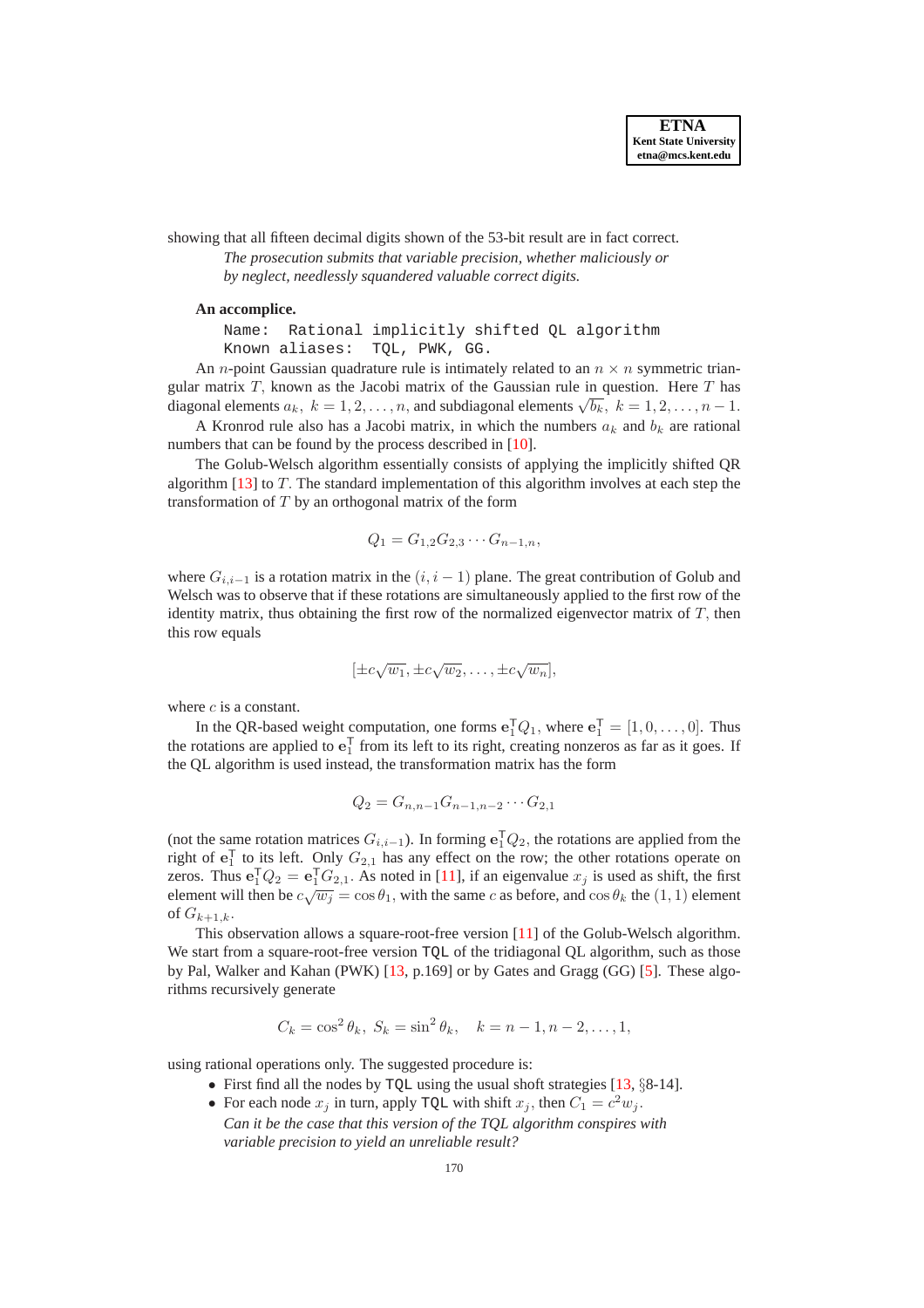showing that all fifteen decimal digits shown of the 53-bit result are in fact correct.

*The prosecution submits that variable precision, whether maliciously or by neglect, needlessly squandered valuable correct digits.*

## **An accomplice.**

Name: Rational implicitly shifted QL algorithm Known aliases: TQL, PWK, GG.

An *n*-point Gaussian quadrature rule is intimately related to an  $n \times n$  symmetric triangular matrix  $T$ , known as the Jacobi matrix of the Gaussian rule in question. Here  $T$  has diagonal elements  $a_k$ ,  $k = 1, 2, ..., n$ , and subdiagonal elements  $\sqrt{b_k}$ ,  $k = 1, 2, ..., n - 1$ .

A Kronrod rule also has a Jacobi matrix, in which the numbers  $a_k$  and  $b_k$  are rational numbers that can be found by the process described in [\[10\]](#page-5-7).

The Golub-Welsch algorithm essentially consists of applying the implicitly shifted QR algorithm [\[13\]](#page-5-8) to T. The standard implementation of this algorithm involves at each step the transformation of  $T$  by an orthogonal matrix of the form

$$
Q_1 = G_{1,2}G_{2,3}\cdots G_{n-1,n},
$$

where  $G_{i,i-1}$  is a rotation matrix in the  $(i, i - 1)$  plane. The great contribution of Golub and Welsch was to observe that if these rotations are simultaneously applied to the first row of the identity matrix, thus obtaining the first row of the normalized eigenvector matrix of  $T$ , then this row equals

$$
[\pm c\sqrt{w_1}, \pm c\sqrt{w_2}, \dots, \pm c\sqrt{w_n}],
$$

where  $c$  is a constant.

In the QR-based weight computation, one forms  $\mathbf{e}_1^T Q_1$ , where  $\mathbf{e}_1^T = [1, 0, \dots, 0]$ . Thus the rotations are applied to  $e_1^T$  from its left to its right, creating nonzeros as far as it goes. If the QL algorithm is used instead, the transformation matrix has the form

$$
Q_2 = G_{n,n-1}G_{n-1,n-2}\cdots G_{2,1}
$$

(not the same rotation matrices  $G_{i,i-1}$ ). In forming  $e_1^{\mathsf{T}} Q_2$ , the rotations are applied from the right of  $e_1^{\mathsf{T}}$  to its left. Only  $G_{2,1}$  has any effect on the row; the other rotations operate on zeros. Thus  $e_1^\mathsf{T} Q_2 = e_1^\mathsf{T} G_{2,1}$ . As noted in [\[11\]](#page-5-9), if an eigenvalue  $x_j$  is used as shift, the first element will then be  $c\sqrt{w_j} = \cos\theta_1$ , with the same c as before, and  $\cos\theta_k$  the  $(1, 1)$  element of  $G_{k+1,k}$ .

This observation allows a square-root-free version [\[11\]](#page-5-9) of the Golub-Welsch algorithm. We start from a square-root-free version TQL of the tridiagonal QL algorithm, such as those by Pal, Walker and Kahan (PWK) [\[13,](#page-5-8) p.169] or by Gates and Gragg (GG) [\[5\]](#page-5-10). These algorithms recursively generate

$$
C_k = \cos^2 \theta_k
$$
,  $S_k = \sin^2 \theta_k$ ,  $k = n - 1, n - 2, ..., 1$ ,

using rational operations only. The suggested procedure is:

- First find all the nodes by TQL using the usual shoft strategies [\[13,](#page-5-8) §8-14].
- For each node  $x_j$  in turn, apply TQL with shift  $x_j$ , then  $C_1 = c^2 w_j$ . *Can it be the case that this version of the TQL algorithm conspires with variable precision to yield an unreliable result?*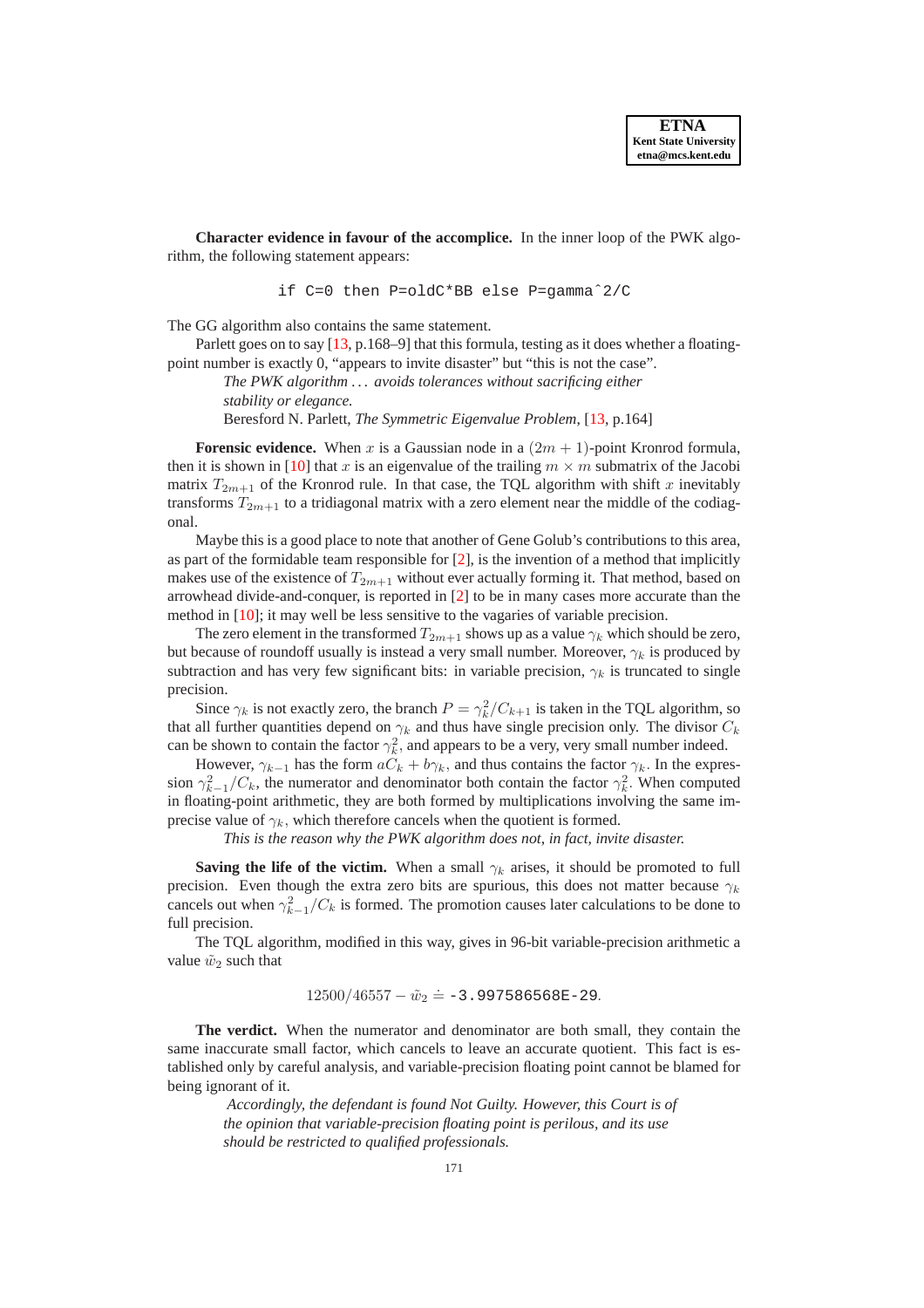**Character evidence in favour of the accomplice.** In the inner loop of the PWK algorithm, the following statement appears:

if C=0 then P=oldC\*BB else P=gammaˆ2/C

The GG algorithm also contains the same statement.

Parlett goes on to say [\[13,](#page-5-8) p.168–9] that this formula, testing as it does whether a floatingpoint number is exactly 0, "appears to invite disaster" but "this is not the case".

*The PWK algorithm . . . avoids tolerances without sacrificing either stability or elegance.*

Beresford N. Parlett, *The Symmetric Eigenvalue Problem*, [\[13,](#page-5-8) p.164]

**Forensic evidence.** When x is a Gaussian node in a  $(2m + 1)$ -point Kronrod formula, then it is shown in [\[10\]](#page-5-7) that x is an eigenvalue of the trailing  $m \times m$  submatrix of the Jacobi matrix  $T_{2m+1}$  of the Kronrod rule. In that case, the TQL algorithm with shift x inevitably transforms  $T_{2m+1}$  to a tridiagonal matrix with a zero element near the middle of the codiagonal.

Maybe this is a good place to note that another of Gene Golub's contributions to this area, as part of the formidable team responsible for [\[2\]](#page-5-11), is the invention of a method that implicitly makes use of the existence of  $T_{2m+1}$  without ever actually forming it. That method, based on arrowhead divide-and-conquer, is reported in [\[2\]](#page-5-11) to be in many cases more accurate than the method in [\[10\]](#page-5-7); it may well be less sensitive to the vagaries of variable precision.

The zero element in the transformed  $T_{2m+1}$  shows up as a value  $\gamma_k$  which should be zero, but because of roundoff usually is instead a very small number. Moreover,  $\gamma_k$  is produced by subtraction and has very few significant bits: in variable precision,  $\gamma_k$  is truncated to single precision.

Since  $\gamma_k$  is not exactly zero, the branch  $P = \gamma_k^2 / C_{k+1}$  is taken in the TQL algorithm, so that all further quantities depend on  $\gamma_k$  and thus have single precision only. The divisor  $C_k$ can be shown to contain the factor  $\gamma_k^2$ , and appears to be a very, very small number indeed.

However,  $\gamma_{k-1}$  has the form  $aC_k + b\gamma_k$ , and thus contains the factor  $\gamma_k$ . In the expression  $\gamma_{k-1}^2/C_k$ , the numerator and denominator both contain the factor  $\gamma_k^2$ . When computed in floating-point arithmetic, they are both formed by multiplications involving the same imprecise value of  $\gamma_k$ , which therefore cancels when the quotient is formed.

*This is the reason why the PWK algorithm does not, in fact, invite disaster.*

**Saving the life of the victim.** When a small  $\gamma_k$  arises, it should be promoted to full precision. Even though the extra zero bits are spurious, this does not matter because  $\gamma_k$ cancels out when  $\gamma_{k-1}^2/C_k$  is formed. The promotion causes later calculations to be done to full precision.

The TQL algorithm, modified in this way, gives in 96-bit variable-precision arithmetic a value  $\tilde{w}_2$  such that

 $12500/46557 - \tilde{w}_2 \doteq -3.997586568E - 29.$ 

**The verdict.** When the numerator and denominator are both small, they contain the same inaccurate small factor, which cancels to leave an accurate quotient. This fact is established only by careful analysis, and variable-precision floating point cannot be blamed for being ignorant of it.

*Accordingly, the defendant is found Not Guilty. However, this Court is of the opinion that variable-precision floating point is perilous, and its use should be restricted to qualified professionals.*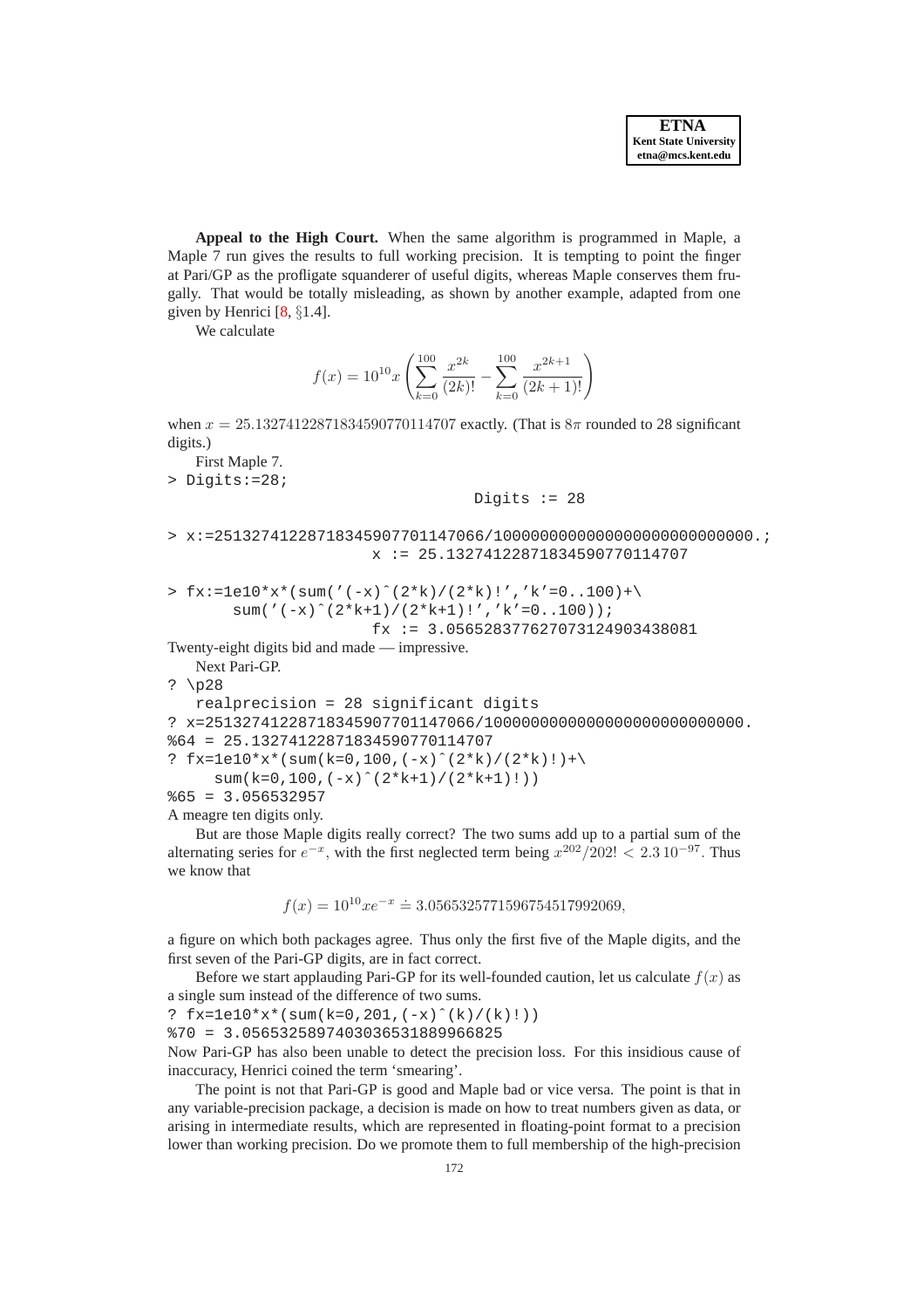**Appeal to the High Court.** When the same algorithm is programmed in Maple, a Maple 7 run gives the results to full working precision. It is tempting to point the finger at Pari/GP as the profligate squanderer of useful digits, whereas Maple conserves them frugally. That would be totally misleading, as shown by another example, adapted from one given by Henrici [\[8,](#page-5-12) §1.4].

We calculate

$$
f(x) = 10^{10} x \left( \sum_{k=0}^{100} \frac{x^{2k}}{(2k)!} - \sum_{k=0}^{100} \frac{x^{2k+1}}{(2k+1)!} \right)
$$

when  $x = 25.13274122871834590770114707$  exactly. (That is  $8\pi$  rounded to 28 significant digits.)

First Maple 7.

> Digits:=28;

Digits  $:= 28$ 

```
> x:=25132741228718345907701147066/1000000000000000000000000000.;
                      x := 25.13274122871834590770114707
```

```
> fx:=1e10*x*(sum('(-x)^{(2*k)}/2*k)!', 'k'=0..100)+\sum('(-x)^(2*k+1)/(2*k+1)!','k'=0..100));
```

```
fx := 3.056528377627073124903438081
```
Twenty-eight digits bid and made — impressive.

```
Next Pari-GP.
? \p28
   realprecision = 28 significant digits
? x=25132741228718345907701147066/1000000000000000000000000000.
%64 = 25.13274122871834590770114707
? fx = 1e10*x*(sum(k=0,100, (-x)^{(-x)})'(2*k)/(2*k)!)+\sum(k=0,100, (-x)^(2*k+1)/(2*k+1)!))
$65 = 3.056532957
```
A meagre ten digits only.

But are those Maple digits really correct? The two sums add up to a partial sum of the alternating series for  $e^{-x}$ , with the first neglected term being  $x^{202}/202! < 2.3 10^{-97}$ . Thus we know that

$$
f(x) = 10^{10} x e^{-x} \approx 3.0565325771596754517992069,
$$

a figure on which both packages agree. Thus only the first five of the Maple digits, and the first seven of the Pari-GP digits, are in fact correct.

Before we start applauding Pari-GP for its well-founded caution, let us calculate  $f(x)$  as a single sum instead of the difference of two sums.

?  $fx = 1e10*x*(sum(k=0,201, (-x)^(k)/(k))$ %70 = 3.0565325897403036531889966825

Now Pari-GP has also been unable to detect the precision loss. For this insidious cause of inaccuracy, Henrici coined the term 'smearing'.

The point is not that Pari-GP is good and Maple bad or vice versa. The point is that in any variable-precision package, a decision is made on how to treat numbers given as data, or arising in intermediate results, which are represented in floating-point format to a precision lower than working precision. Do we promote them to full membership of the high-precision